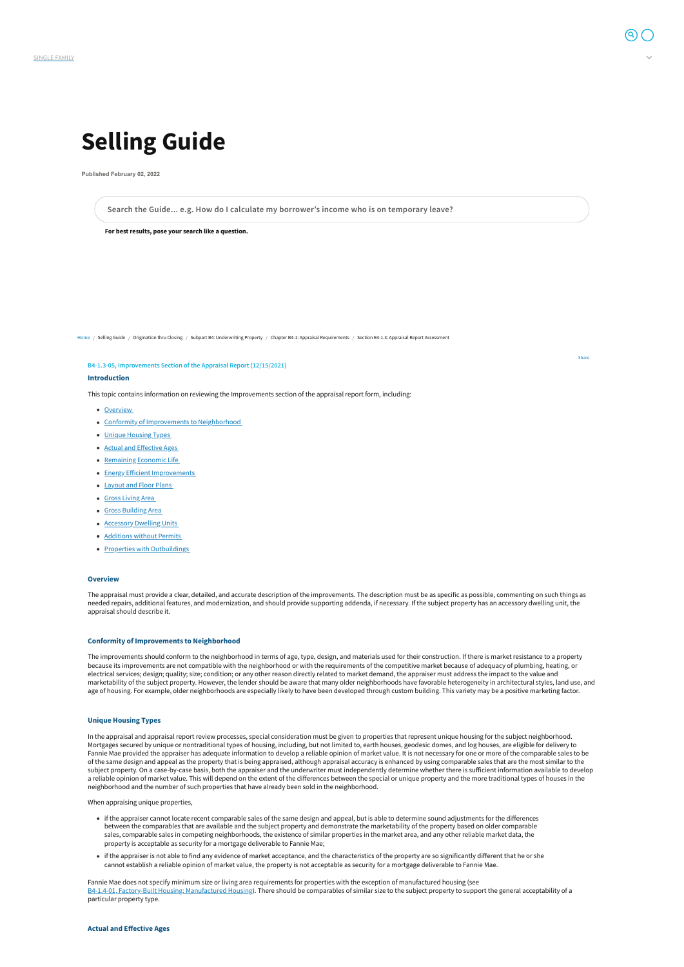

# **Selling Guide**

**Published February 02, 2022**

**For best results, pose your search like a question.**

[Home](https://selling-guide.fanniemae.com/) / Selling Guide / Origination thru Closing / Subpart B4: Underwriting Property / Chapter B4-1: Appraisal Requirements / Section B4-1.3: Appraisal Report Assessment

#### **B4-1.3-05, Improvements Section of the Appraisal Report (12/15/2021)**

#### **Introduction**

This topic contains information on reviewing the Improvements section of the appraisal report form, including:

- [Overview](#page-0-0)
- Conformity of [Improvements](#page-0-1) to Neighborhood
- Unique [Housing](#page-0-2) Types
- Actual and [Effective](#page-0-3) Ages
- [Remaining](#page-1-0) Economic Life
- Energy Efficient [Improvements](#page-1-1)
- [Layout](#page-1-2) and Floor Plans
- Gross [Living](#page-1-3) Area
- Gross [Building](#page-1-4) Area
- **[Accessory](#page-1-5) Dwelling Units**
- [Additions](#page-2-0) without Permits
- Properties with [Outbuildings](#page-2-1)

The improvements should conform to the neighborhood in terms of age, type, design, and materials used for their construction. If there is market resistance to a property because its improvements are not compatible with the neighborhood or with the requirements of the competitive market because of adequacy of plumbing, heating, or electrical services; design; quality; size; condition; or any other reason directly related to market demand, the appraiser must address the impact to the value and marketability of the subject property. However, the lender should be aware that many older neighborhoods have favorable heterogeneity in architectural styles, land use, and age of housing. For example, older neighborhoods are especially likely to have been developed through custom building. This variety may be a positive marketing factor.

#### <span id="page-0-0"></span>**Overview**

The appraisal must provide a clear, detailed, and accurate description of the improvements. The description must be as specific as possible, commenting on such things as needed repairs, additional features, and modernization, and should provide supporting addenda, if necessary. If the subject property has an accessory dwelling unit, the appraisal should describe it.

#### <span id="page-0-1"></span>**Conformity of Improvements to Neighborhood**

<span id="page-0-2"></span>In the appraisal and appraisal report review processes, special consideration must be given to properties that represent unique housing for the subject neighborhood. Mortgages secured by unique or nontraditional types of housing, including, but not limited to, earth houses, geodesic domes, and log houses, are eligible for delivery to Fannie Mae provided the appraiser has adequate information to develop a reliable opinion of market value. It is not necessary for one or more of the comparable sales to be of the same design and appeal as the property that is being appraised, although appraisal accuracy is enhanced by using comparable sales that are the most similar to the subject property. On a case-by-case basis, both the appraiser and the underwriter must independently determine whether there is sufficient information available to develop a reliable opinion of market value. This will depend on the extent of the differences between the special or unique property and the more traditional types of houses in the neighborhood and the number of such properties that have already been sold in the neighborhood.

When appraising unique properties,

- if the appraiser cannot locate recent comparable sales of the same design and appeal, but is able to determine sound adjustments for the differences between the comparables that are available and the subject property and demonstrate the marketability of the property based on older comparable sales, comparable sales in competing neighborhoods, the existence of similar properties in the market area, and any other reliable market data, the property is acceptable as security for a mortgage deliverable to Fannie Mae;
- if the appraiser is not able to find any evidence of market acceptance, and the characteristics of the property are so significantly different that he or she cannot establish a reliable opinion of market value, the property is not acceptable as security for a mortgage deliverable to Fannie Mae.

Fannie Mae does not specify minimum size or living area requirements for properties with the exception of manufactured housing (see B4-1.4-01, Factory-Built Housing: [Manufactured](https://selling-guide.fanniemae.com/Selling-Guide/Origination-thru-Closing/Subpart-B4-Underwriting-Property/Chapter-B4-1-Appraisal-Requirements/Section-B4-1-4-Special-Appraisal-and-Other-Valuation/1032994991/B4-1-4-01-Factory-Built-Housing-Manufactured-Housing-12-16-2020.htm) Housing). There should be comparables of similar size to the subject property to support the general acceptability of a particular property type.

# <span id="page-0-3"></span>**Actual and Effective Ages**

**Search the Guide... e.g. How do I calculate my borrower's income who is on temporary leave?**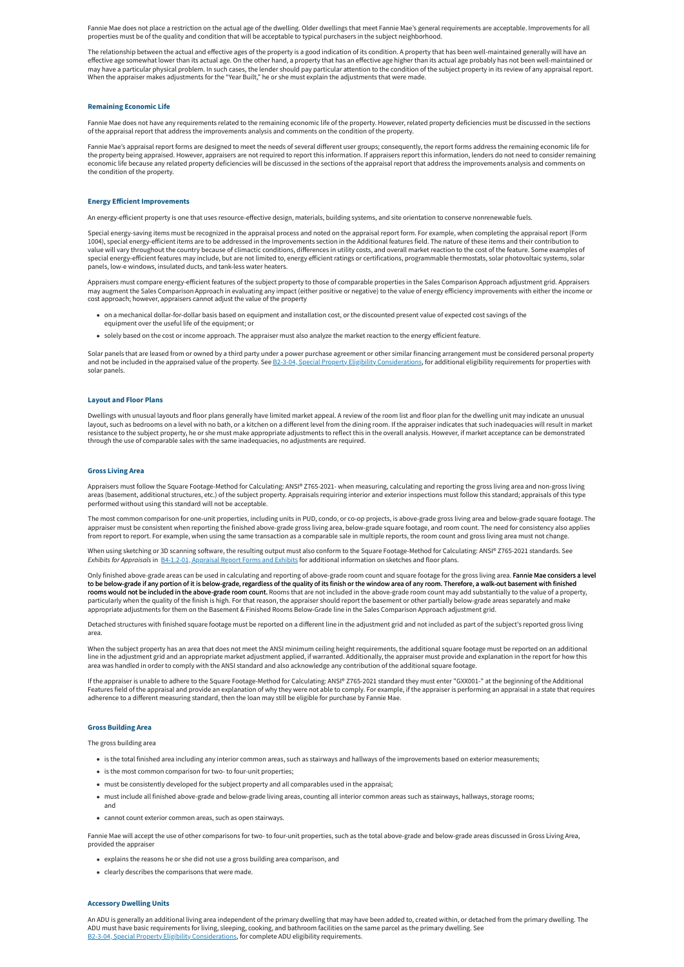Fannie Mae does not place a restriction on the actual age of the dwelling. Older dwellings that meet Fannie Mae's general requirements are acceptable. Improvements for all properties must be of the quality and condition that will be acceptable to typical purchasers in the subject neighborhood.

The relationship between the actual and effective ages of the property is a good indication of its condition. A property that has been well-maintained generally will have an effective age somewhat lower than its actual age. On the other hand, a property that has an effective age higher than its actual age probably has not been well-maintained or may have a particular physical problem. In such cases, the lender should pay particular attention to the condition of the subject property in its review of any appraisal report. When the appraiser makes adjustments for the "Year Built," he or she must explain the adjustments that were made.

#### <span id="page-1-0"></span>**Remaining Economic Life**

Fannie Mae does not have any requirements related to the remaining economic life of the property. However, related property deficiencies must be discussed in the sections of the appraisal report that address the improvements analysis and comments on the condition of the property.

Fannie Mae's appraisal report forms are designed to meet the needs of several different user groups; consequently, the report forms address the remaining economic life for the property being appraised. However, appraisers are not required to report this information. If appraisers report this information, lenders do not need to consider remaining economic life because any related property deficiencies will be discussed in the sections of the appraisal report that address the improvements analysis and comments on the condition of the property.

Appraisers must compare energy-efficient features of the subject property to those of comparable properties in the Sales Comparison Approach adjustment grid. Appraisers may augment the Sales Comparison Approach in evaluating any impact (either positive or negative) to the value of energy efficiency improvements with either the income or cost approach; however, appraisers cannot adjust the value of the property

#### <span id="page-1-1"></span>**Energy Efficient Improvements**

An energy-efficient property is one that uses resource-effective design, materials, building systems, and site orientation to conserve nonrenewable fuels.

Solar panels that are leased from or owned by a third party under a power purchase agreement or other similar financing arrangement must be considered personal property and not be included in the appraised value of the property. See B2-3-04, Special Property Eligibility [Considerations,](https://selling-guide.fanniemae.com/Selling-Guide/Origination-thru-Closing/Subpart-B2-Eligibility/Chapter-B2-3-Property-Eligibility/1032991541/B2-3-04-Special-Property-Eligibility-Considerations-12-16-2020.htm) for additional eligibility requirements for properties with solar panels.

Special energy-saving items must be recognized in the appraisal process and noted on the appraisal report form. For example, when completing the appraisal report (Form 1004), special energy-efficient items are to be addressed in the Improvements section in the Additional features field. The nature of these items and their contribution to value will vary throughout the country because of climactic conditions, differences in utility costs, and overall market reaction to the cost of the feature. Some examples of special energy-efficient features may include, but are not limited to, energy efficient ratings or certifications, programmable thermostats, solar photovoltaic systems, solar panels, low-e windows, insulated ducts, and tank-less water heaters.

Appraisers must follow the Square Footage-Method for Calculating: ANSI® Z765-2021- when measuring, calculating and reporting the gross living area and non-gross living areas (basement, additional structures, etc.) of the subject property. Appraisals requiring interior and exterior inspections must follow this standard; appraisals of this type performed without using this standard will not be acceptable.

Only finished above-grade areas can be used in calculating and reporting of above-grade room count and square footage for the gross living area. Fannie Mae considers a level to be below-grade if any portion of it is below-grade, regardless of the quality of its finish or the window area of any room. Therefore, a walk-out basement with finished rooms would not be included in the above-grade room count. Rooms that are not included in the above-grade room count may add substantially to the value of a property, particularly when the quality of the finish is high. For that reason, the appraiser should report the basement or other partially below-grade areas separately and make appropriate adjustments for them on the Basement & Finished Rooms Below-Grade line in the Sales Comparison Approach adjustment grid.

- on a mechanical dollar-for-dollar basis based on equipment and installation cost, or the discounted present value of expected cost savings of the equipment over the useful life of the equipment; or
- solely based on the cost or income approach. The appraiser must also analyze the market reaction to the energy efficient feature.

#### <span id="page-1-2"></span>**Layout and Floor Plans**

Dwellings with unusual layouts and floor plans generally have limited market appeal. A review of the room list and floor plan for the dwelling unit may indicate an unusual layout, such as bedrooms on a level with no bath, or a kitchen on a different level from the dining room. If the appraiser indicates that such inadequacies will result in market resistance to the subject property, he or she must make appropriate adjustments to reflect this in the overall analysis. However, if market acceptance can be demonstrated through the use of comparable sales with the same inadequacies, no adjustments are required.

#### <span id="page-1-3"></span>**Gross Living Area**

The most common comparison for one-unit properties, including units in PUD, condo, or co-op projects, is above-grade gross living area and below-grade square footage. The appraiser must be consistent when reporting the finished above-grade gross living area, below-grade square footage, and room count. The need for consistency also applies from report to report. For example, when using the same transaction as a comparable sale in multiple reports, the room count and gross living area must not change.

When using sketching or 3D scanning software, the resulting output must also conform to the Square Footage-Method for Calculating: ANSI® Z765-2021 standards. See *Exhibits for Appraisals* in [B4-1.2-01,](https://selling-guide.fanniemae.com/Selling-Guide/Origination-thru-Closing/Subpart-B4-Underwriting-Property/Chapter-B4-1-Appraisal-Requirements/Section-B4-1-2-Documentation-Standards/1032991831/B4-1-2-01-Appraisal-Report-Forms-and-Exhibits-02-02-2022.htm) Appraisal Report Forms and Exhibits for additional information on sketches and floor plans.

Detached structures with finished square footage must be reported on a different line in the adjustment grid and not included as part of the subject's reported gross living area.

When the subject property has an area that does not meet the ANSI minimum ceiling height requirements, the additional square footage must be reported on an additional line in the adjustment grid and an appropriate market adjustment applied, if warranted. Additionally, the appraiser must provide and explanation in the report for how this area was handled in order to comply with the ANSI standard and also acknowledge any contribution of the additional square footage.

If the appraiser is unable to adhere to the Square Footage-Method for Calculating: ANSI® Z765-2021 standard they must enter "GXX001-" at the beginning of the Additional Features field of the appraisal and provide an explanation of why they were not able to comply. For example, if the appraiser is performing an appraisal in a state that requires adherence to a different measuring standard, then the loan may still be eligible for purchase by Fannie Mae.

#### <span id="page-1-4"></span>**Gross Building Area**

#### The gross building area

- is the total finished area including any interior common areas, such as stairways and hallways of the improvements based on exterior measurements;
- is the most common comparison for two- to four-unit properties;
- must be consistently developed for the subject property and all comparables used in the appraisal;
- must include all finished above-grade and below-grade living areas, counting all interior common areas such as stairways, hallways, storage rooms; and
- cannot count exterior common areas, such as open stairways.

Fannie Mae will accept the use of other comparisons for two- to four-unit properties, such as the total above-grade and below-grade areas discussed in Gross Living Area, provided the appraiser

- explains the reasons he or she did not use a gross building area comparison, and
- clearly describes the comparisons that were made.

#### <span id="page-1-5"></span>**Accessory Dwelling Units**

An ADU is generally an additional living area independent of the primary dwelling that may have been added to, created within, or detached from the primary dwelling. The ADU must have basic requirements for living, sleeping, cooking, and bathroom facilities on the same parcel as the primary dwelling. See B2-3-04, Special Property Eligibility [Considerations,](https://selling-guide.fanniemae.com/Selling-Guide/Origination-thru-Closing/Subpart-B2-Eligibility/Chapter-B2-3-Property-Eligibility/1032991541/B2-3-04-Special-Property-Eligibility-Considerations-12-16-2020.htm) for complete ADU eligibility requirements.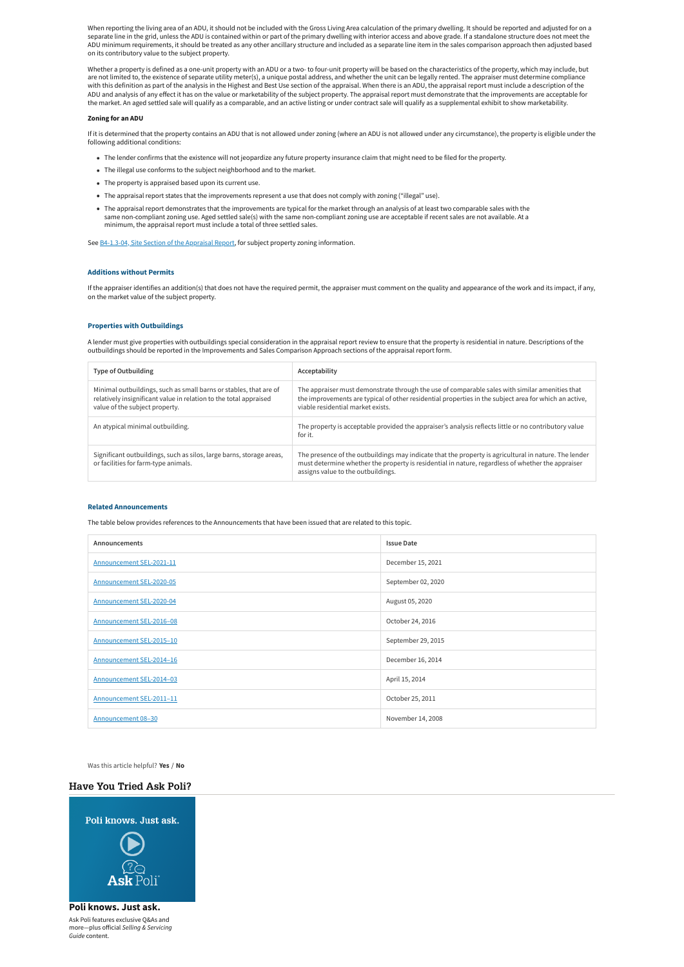Was this article helpful? **Yes** / **No**

When reporting the living area of an ADU, it should not be included with the Gross Living Area calculation of the primary dwelling. It should be reported and adjusted for on a separate line in the grid, unless the ADU is contained within or part of the primary dwelling with interior access and above grade. If a standalone structure does not meet the ADU minimum requirements, it should be treated as any other ancillary structure and included as a separate line item in the sales comparison approach then adjusted based on its contributory value to the subject property.

Whether a property is defined as a one-unit property with an ADU or a two- to four-unit property will be based on the characteristics of the property, which may include, but are not limited to, the existence of separate utility meter(s), a unique postal address, and whether the unit can be legally rented. The appraiser must determine compliance with this definition as part of the analysis in the Highest and Best Use section of the appraisal. When there is an ADU, the appraisal report must include a description of the ADU and analysis of any effect it has on the value or marketability of the subject property. The appraisal report must demonstrate that the improvements are acceptable for the market. An aged settled sale will qualify as a comparable, and an active listing or under contract sale will qualify as a supplemental exhibit to show marketability.

#### **Zoning for an ADU**

If it is determined that the property contains an ADU that is not allowed under zoning (where an ADU is not allowed under any circumstance), the property is eligible under the following additional conditions:

- The lender confirms that the existence will not jeopardize any future property insurance claim that might need to be filed for the property.
- The illegal use conforms to the subject neighborhood and to the market.
- The property is appraised based upon its current use.
- The appraisal report states that the improvements represent a use that does not comply with zoning ("illegal" use).
- The appraisal report demonstrates that the improvements are typical for the market through an analysis of at least two comparable sales with the same non-compliant zoning use. Aged settled sale(s) with the same non-compliant zoning use are acceptable if recent sales are not available. At a minimum, the appraisal report must include a total of three settled sales.

See [B4-1.3-04,](https://selling-guide.fanniemae.com/Selling-Guide/Origination-thru-Closing/Subpart-B4-Underwriting-Property/Chapter-B4-1-Appraisal-Requirements/Section-B4-1-3-Appraisal-Report-Assessment/1032992601/B4-1-3-04-Site-Section-of-the-Appraisal-Report-06-05-2018.htm) Site Section of the Appraisal Report, for subject property zoning information.

#### <span id="page-2-0"></span>**Additions without Permits**

If the appraiser identifies an addition(s) that does not have the required permit, the appraiser must comment on the quality and appearance of the work and its impact, if any, on the market value of the subject property.

# <span id="page-2-1"></span>**Properties with Outbuildings**

A lender must give properties with outbuildings special consideration in the appraisal report review to ensure that the property is residential in nature. Descriptions of the outbuildings should be reported in the Improvements and Sales Comparison Approach sections of the appraisal report form.

| <b>Type of Outbuilding</b>                                                                                                                                               | Acceptability                                                                                                                                                                                                                                    |
|--------------------------------------------------------------------------------------------------------------------------------------------------------------------------|--------------------------------------------------------------------------------------------------------------------------------------------------------------------------------------------------------------------------------------------------|
| Minimal outbuildings, such as small barns or stables, that are of<br>relatively insignificant value in relation to the total appraised<br>value of the subject property. | The appraiser must demonstrate through the use of comparable sales with similar amenities that<br>the improvements are typical of other residential properties in the subject area for which an active,<br>viable residential market exists.     |
| An atypical minimal outbuilding.                                                                                                                                         | The property is acceptable provided the appraiser's analysis reflects little or no contributory value<br>for it.                                                                                                                                 |
| Significant outbuildings, such as silos, large barns, storage areas,<br>or facilities for farm-type animals.                                                             | The presence of the outbuildings may indicate that the property is agricultural in nature. The lender<br>must determine whether the property is residential in nature, regardless of whether the appraiser<br>assigns value to the outbuildings. |

#### **Related Announcements**

The table below provides references to the Announcements that have been issued that are related to this topic.

| Announcements            | <b>Issue Date</b>  |
|--------------------------|--------------------|
| Announcement SEL-2021-11 | December 15, 2021  |
| Announcement SEL-2020-05 | September 02, 2020 |
| Announcement SEL-2020-04 | August 05, 2020    |
| Announcement SEL-2016-08 | October 24, 2016   |
| Announcement SEL-2015-10 | September 29, 2015 |
| Announcement SEL-2014-16 | December 16, 2014  |
| Announcement SEL-2014-03 | April 15, 2014     |
| Announcement SEL-2011-11 | October 25, 2011   |
| Announcement 08-30       | November 14, 2008  |

# **Have You Tried Ask Poli?**



# **Poli knows. Just ask.**

Ask Poli features exclusive Q&As and more—plus official *Selling & Servicing Guide* content.